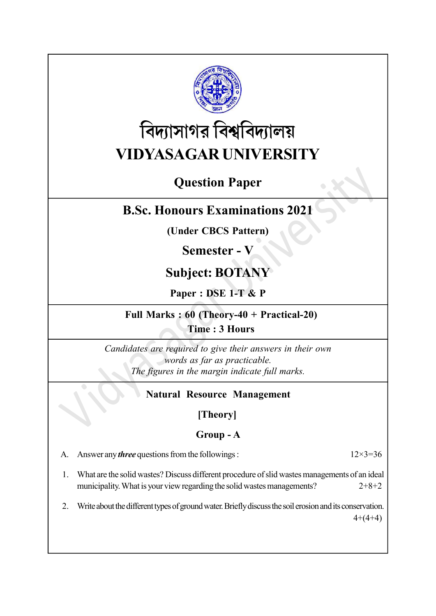

# বিদ্যাসাগর বিশ্ববিদ্যালয় VIDYASAGAR UNIVERSITY

# Question Paper

## B.Sc. Honours Examinations 2021

(Under CBCS Pattern)

## Semester - V

# Subject: BOTANY

Paper : DSE 1-T & P

#### Full Marks : 60 (Theory-40 + Practical-20) Time : 3 Hours

Candidates are required to give their answers in their own words as far as practicable. The figures in the margin indicate full marks.

#### Natural Resource Management

#### [Theory]

#### Group - A

A. Answer any *three* questions from the followings :  $12 \times 3 = 36$ 

- 1. What are the solid wastes? Discuss different procedure of slid wastes managements of an ideal municipality. What is your view regarding the solid wastes managements?  $2+8+2$
- 2. Write about the different types of ground water. Briefly discuss the soil erosion and its conservation.  $4+(4+4)$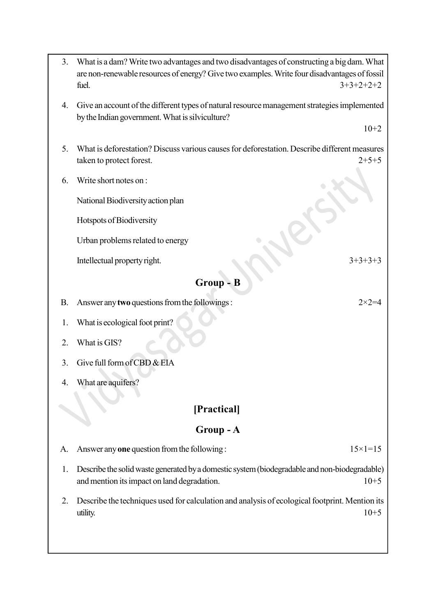- 6. Write short notes on : National Biodiversity action plan Hotspots of Biodiversity Urban problems related to energy Intellectual property right.  $3+3+3+3$ Group - B B. Answer any **two** questions from the followings :  $2 \times 2 = 4$ 1. What is ecological foot print? 2. What is GIS? 3. Give full form of CBD & EIA 4. What are aquifers? [Practical] Group - A A. Answer any one question from the following :  $15 \times 1 = 15$ 1. Describe the solid waste generated by a domestic system (biodegradable and non-biodegradable)
- 5. What is deforestation? Discuss various causes for deforestation. Describe different measures taken to protect forest. 2+5+5

3. What is a dam? Write two advantages and two disadvantages of constructing a big dam. What are non-renewable resources of energy? Give two examples. Write four disadvantages of fossil fuel.  $3+3+2+2+2$ 

4. Give an account of the different types of natural resource management strategies implemented

by the Indian government. What is silviculture?

- 
- and mention its impact on land degradation.  $10+5$
- 2. Describe the techniques used for calculation and analysis of ecological footprint. Mention its utility.  $10+5$

 $10+2$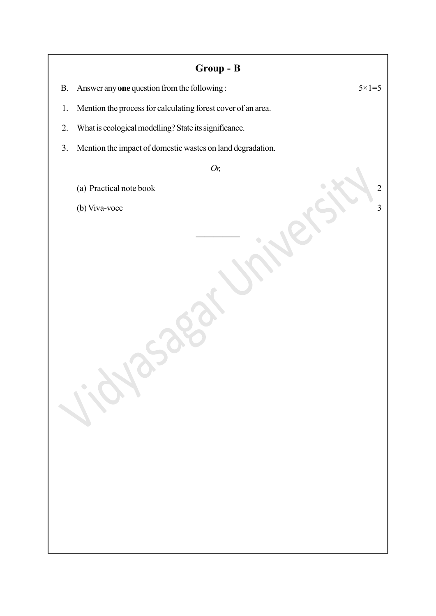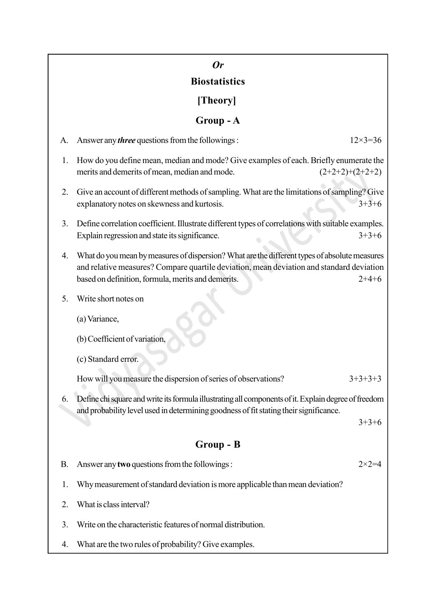# Or

## **Biostatistics**

[Theory]

## Group - A

| A.        | Answer any <i>three</i> questions from the followings:                                                                                                                                                                                                     | $12\times3=36$    |  |  |
|-----------|------------------------------------------------------------------------------------------------------------------------------------------------------------------------------------------------------------------------------------------------------------|-------------------|--|--|
| 1.        | How do you define mean, median and mode? Give examples of each. Briefly enumerate the<br>merits and demerits of mean, median and mode.                                                                                                                     | $(2+2+2)+(2+2+2)$ |  |  |
| 2.        | Give an account of different methods of sampling. What are the limitations of sampling? Give<br>explanatory notes on skewness and kurtosis.                                                                                                                | $3+3+6$           |  |  |
| 3.        | Define correlation coefficient. Illustrate different types of correlations with suitable examples.<br>Explain regression and state its significance.                                                                                                       | $3+3+6$           |  |  |
| 4.        | What do you mean by measures of dispersion? What are the different types of absolute measures<br>and relative measures? Compare quartile deviation, mean deviation and standard deviation<br>based on definition, formula, merits and demerits.<br>$2+4+6$ |                   |  |  |
| 5.        | Write short notes on                                                                                                                                                                                                                                       |                   |  |  |
|           | (a) Variance,                                                                                                                                                                                                                                              |                   |  |  |
|           | (b) Coefficient of variation,                                                                                                                                                                                                                              |                   |  |  |
|           | (c) Standard error.                                                                                                                                                                                                                                        |                   |  |  |
|           | How will you measure the dispersion of series of observations?                                                                                                                                                                                             | $3+3+3+3$         |  |  |
| 6.        | Define chi square and write its formula illustrating all components of it. Explain degree of freedom                                                                                                                                                       |                   |  |  |
|           | and probability level used in determining goodness of fit stating their significance.                                                                                                                                                                      | $3+3+6$           |  |  |
| Group - B |                                                                                                                                                                                                                                                            |                   |  |  |
| В.        | Answer any two questions from the followings:                                                                                                                                                                                                              | $2 \times 2 = 4$  |  |  |
| 1.        | Why measurement of standard deviation is more applicable than mean deviation?                                                                                                                                                                              |                   |  |  |
| 2.        | What is class interval?                                                                                                                                                                                                                                    |                   |  |  |
| 3.        | Write on the characteristic features of normal distribution.                                                                                                                                                                                               |                   |  |  |
| 4.        | What are the two rules of probability? Give examples.                                                                                                                                                                                                      |                   |  |  |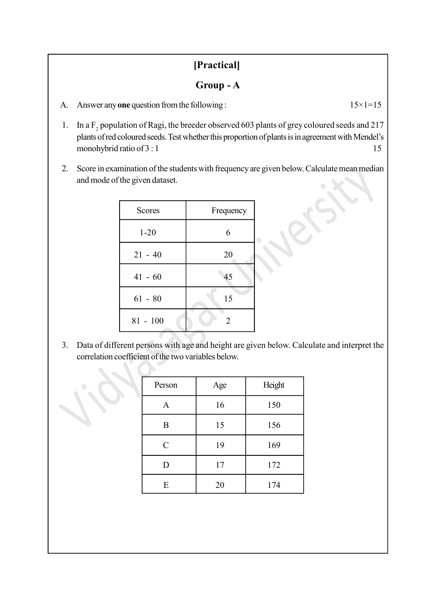#### [Practical]

#### Group - A

- A. Answer any one question from the following :  $15 \times 1 = 15$
- 1. In a  $F_2$  population of Ragi, the breeder observed 603 plants of grey coloured seeds and 217 plants of red coloured seeds. Test whether this proportion of plants is in agreement with Mendel's monohybrid ratio of  $3:1$  15
- 2. Score in examination of the students with frequency are given below. Calculate mean median and mode of the given dataset.

| <b>Scores</b> | Frequency      |
|---------------|----------------|
| $1 - 20$      | 6              |
| $21 - 40$     | 20             |
| $41 - 60$     | 45             |
| $61 - 80$     | 15             |
| $81 - 100$    | $\mathfrak{D}$ |

3. Data of different persons with age and height are given below. Calculate and interpret the correlation coefficient of the two variables below.

| Person      | Age | Height |
|-------------|-----|--------|
| A           | 16  | 150    |
| B           | 15  | 156    |
| $\mathbf C$ | 19  | 169    |
| D           | 17  | 172    |
| E           | 20  | 174    |